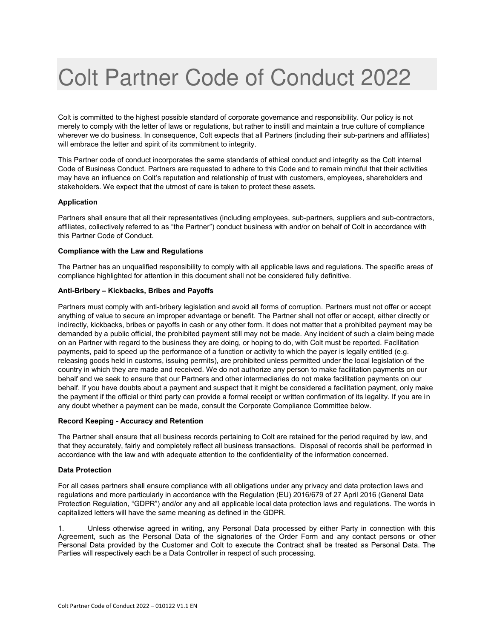# Colt Partner Code of Conduct 2022

Colt is committed to the highest possible standard of corporate governance and responsibility. Our policy is not merely to comply with the letter of laws or regulations, but rather to instill and maintain a true culture of compliance wherever we do business. In consequence, Colt expects that all Partners (including their sub-partners and affiliates) will embrace the letter and spirit of its commitment to integrity.

This Partner code of conduct incorporates the same standards of ethical conduct and integrity as the Colt internal Code of Business Conduct. Partners are requested to adhere to this Code and to remain mindful that their activities may have an influence on Colt's reputation and relationship of trust with customers, employees, shareholders and stakeholders. We expect that the utmost of care is taken to protect these assets.

## **Application**

Partners shall ensure that all their representatives (including employees, sub-partners, suppliers and sub-contractors, affiliates, collectively referred to as "the Partner") conduct business with and/or on behalf of Colt in accordance with this Partner Code of Conduct.

## **Compliance with the Law and Regulations**

The Partner has an unqualified responsibility to comply with all applicable laws and regulations. The specific areas of compliance highlighted for attention in this document shall not be considered fully definitive.

## **Anti-Bribery – Kickbacks, Bribes and Payoffs**

Partners must comply with anti-bribery legislation and avoid all forms of corruption. Partners must not offer or accept anything of value to secure an improper advantage or benefit. The Partner shall not offer or accept, either directly or indirectly, kickbacks, bribes or payoffs in cash or any other form. It does not matter that a prohibited payment may be demanded by a public official, the prohibited payment still may not be made. Any incident of such a claim being made on an Partner with regard to the business they are doing, or hoping to do, with Colt must be reported. Facilitation payments, paid to speed up the performance of a function or activity to which the payer is legally entitled (e.g. releasing goods held in customs, issuing permits), are prohibited unless permitted under the local legislation of the country in which they are made and received. We do not authorize any person to make facilitation payments on our behalf and we seek to ensure that our Partners and other intermediaries do not make facilitation payments on our behalf. If you have doubts about a payment and suspect that it might be considered a facilitation payment, only make the payment if the official or third party can provide a formal receipt or written confirmation of its legality. If you are in any doubt whether a payment can be made, consult the Corporate Compliance Committee below.

## **Record Keeping - Accuracy and Retention**

The Partner shall ensure that all business records pertaining to Colt are retained for the period required by law, and that they accurately, fairly and completely reflect all business transactions. Disposal of records shall be performed in accordance with the law and with adequate attention to the confidentiality of the information concerned.

## **Data Protection**

For all cases partners shall ensure compliance with all obligations under any privacy and data protection laws and regulations and more particularly in accordance with the Regulation (EU) 2016/679 of 27 April 2016 (General Data Protection Regulation, "GDPR") and/or any and all applicable local data protection laws and regulations. The words in capitalized letters will have the same meaning as defined in the GDPR.

1. Unless otherwise agreed in writing, any Personal Data processed by either Party in connection with this Agreement, such as the Personal Data of the signatories of the Order Form and any contact persons or other Personal Data provided by the Customer and Colt to execute the Contract shall be treated as Personal Data. The Parties will respectively each be a Data Controller in respect of such processing.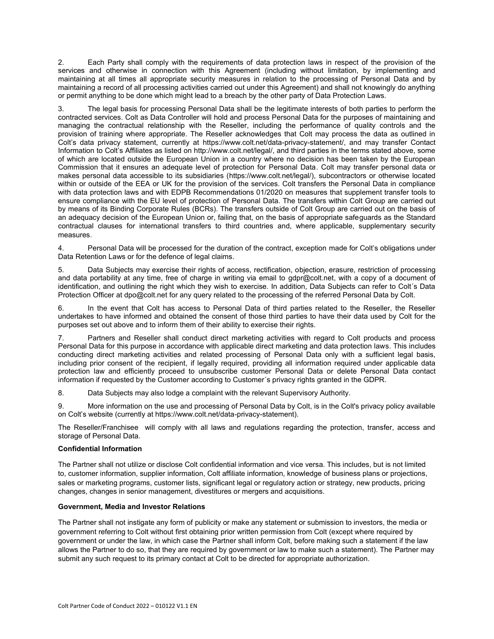2. Each Party shall comply with the requirements of data protection laws in respect of the provision of the services and otherwise in connection with this Agreement (including without limitation, by implementing and maintaining at all times all appropriate security measures in relation to the processing of Personal Data and by maintaining a record of all processing activities carried out under this Agreement) and shall not knowingly do anything or permit anything to be done which might lead to a breach by the other party of Data Protection Laws.

3. The legal basis for processing Personal Data shall be the legitimate interests of both parties to perform the contracted services. Colt as Data Controller will hold and process Personal Data for the purposes of maintaining and managing the contractual relationship with the Reseller, including the performance of quality controls and the provision of training where appropriate. The Reseller acknowledges that Colt may process the data as outlined in Colt's data privacy statement, currently at [https://www.colt.net/data-privacy-statement/,](https://www.colt.net/data-privacy-statement/) and may transfer Contact Information to Colt's Affiliates as listed on http://www.colt.net/legal/, and third parties in the terms stated above, some of which are located outside the European Union in a country where no decision has been taken by the European Commission that it ensures an adequate level of protection for Personal Data. Colt may transfer personal data or makes personal data accessible to its subsidiaries [\(https://www.colt.net/legal/\),](https://eur01.safelinks.protection.outlook.com/?url=https%3A%2F%2Fwww.colt.net%2Flegal%2F)%2C%2520&data=04%7C01%7CCristina.Sirera%40colt.net%7C847d96d7a2d643b9bf3808d9af3c4399%7Cb859cf7eff8a40bbbd0fda56e6dc0eb8%7C1%7C0%7C637733495627787441%7CUnknown%7CTWFpbGZsb3d8eyJWIjoiMC4wLjAwMDAiLCJQIjoiV2luMzIiLCJBTiI6Ik1haWwiLCJXVCI6Mn0%3D%7C3000&sdata=sV8UFbXfvbUfn2jK3UtFEBbyW0%2B%2FIueSFuF4U5IdUEo%3D&reserved=0) subcontractors or otherwise located within or outside of the EEA or UK for the provision of the services. Colt transfers the Personal Data in compliance with data protection laws and with EDPB Recommendations 01/2020 on measures that supplement transfer tools to ensure compliance with the EU level of protection of Personal Data. The transfers within Colt Group are carried out by means of its Binding Corporate Rules (BCRs). The transfers outside of Colt Group are carried out on the basis of an adequacy decision of the European Union or, failing that, on the basis of appropriate safeguards as the Standard contractual clauses for international transfers to third countries and, where applicable, supplementary security measures.

4. Personal Data will be processed for the duration of the contract, exception made for Colt's obligations under Data Retention Laws or for the defence of legal claims.

5. Data Subjects may exercise their rights of access, rectification, objection, erasure, restriction of processing and data portability at any time, free of charge in writing via email to [gdpr@colt.net,](mailto:gdpr@colt.net) with a copy of a document of identification, and outlining the right which they wish to exercise. In addition, Data Subjects can refer to Colt´s Data Protection Officer at [dpo@colt.net](mailto:dpo@colt.net) for any query related to the processing of the referred Personal Data by Colt.

6. In the event that Colt has access to Personal Data of third parties related to the Reseller, the Reseller undertakes to have informed and obtained the consent of those third parties to have their data used by Colt for the purposes set out above and to inform them of their ability to exercise their rights.

7. Partners and Reseller shall conduct direct marketing activities with regard to Colt products and process Personal Data for this purpose in accordance with applicable direct marketing and data protection laws. This includes conducting direct marketing activities and related processing of Personal Data only with a sufficient legal basis, including prior consent of the recipient, if legally required, providing all information required under applicable data protection law and efficiently proceed to unsubscribe customer Personal Data or delete Personal Data contact information if requested by the Customer according to Customer´s privacy rights granted in the GDPR.

8. Data Subjects may also lodge a complaint with the relevant Supervisory Authority.

9. More information on the use and processing of Personal Data by Colt, is in the Colt's privacy policy available on Colt's website (currently at https://www.colt.net/data-privacy-statement).

The Reseller/Franchisee will comply with all laws and regulations regarding the protection, transfer, access and storage of Personal Data.

## **Confidential Information**

The Partner shall not utilize or disclose Colt confidential information and vice versa. This includes, but is not limited to, customer information, supplier information, Colt affiliate information, knowledge of business plans or projections, sales or marketing programs, customer lists, significant legal or regulatory action or strategy, new products, pricing changes, changes in senior management, divestitures or mergers and acquisitions.

#### **Government, Media and Investor Relations**

The Partner shall not instigate any form of publicity or make any statement or submission to investors, the media or government referring to Colt without first obtaining prior written permission from Colt (except where required by government or under the law, in which case the Partner shall inform Colt, before making such a statement if the law allows the Partner to do so, that they are required by government or law to make such a statement). The Partner may submit any such request to its primary contact at Colt to be directed for appropriate authorization.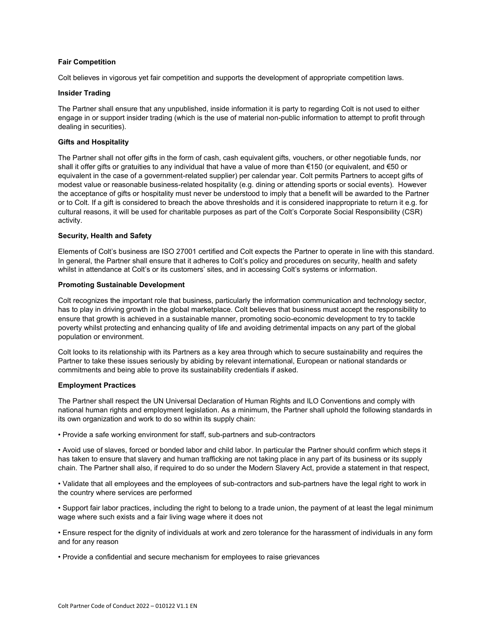## **Fair Competition**

Colt believes in vigorous yet fair competition and supports the development of appropriate competition laws.

#### **Insider Trading**

The Partner shall ensure that any unpublished, inside information it is party to regarding Colt is not used to either engage in or support insider trading (which is the use of material non-public information to attempt to profit through dealing in securities).

#### **Gifts and Hospitality**

The Partner shall not offer gifts in the form of cash, cash equivalent gifts, vouchers, or other negotiable funds, nor shall it offer gifts or gratuities to any individual that have a value of more than €150 (or equivalent, and €50 or equivalent in the case of a government-related supplier) per calendar year. Colt permits Partners to accept gifts of modest value or reasonable business-related hospitality (e.g. dining or attending sports or social events). However the acceptance of gifts or hospitality must never be understood to imply that a benefit will be awarded to the Partner or to Colt. If a gift is considered to breach the above thresholds and it is considered inappropriate to return it e.g. for cultural reasons, it will be used for charitable purposes as part of the Colt's Corporate Social Responsibility (CSR) activity.

#### **Security, Health and Safety**

Elements of Colt's business are ISO 27001 certified and Colt expects the Partner to operate in line with this standard. In general, the Partner shall ensure that it adheres to Colt's policy and procedures on security, health and safety whilst in attendance at Colt's or its customers' sites, and in accessing Colt's systems or information.

#### **Promoting Sustainable Development**

Colt recognizes the important role that business, particularly the information communication and technology sector, has to play in driving growth in the global marketplace. Colt believes that business must accept the responsibility to ensure that growth is achieved in a sustainable manner, promoting socio-economic development to try to tackle poverty whilst protecting and enhancing quality of life and avoiding detrimental impacts on any part of the global population or environment.

Colt looks to its relationship with its Partners as a key area through which to secure sustainability and requires the Partner to take these issues seriously by abiding by relevant international, European or national standards or commitments and being able to prove its sustainability credentials if asked.

#### **Employment Practices**

The Partner shall respect the UN Universal Declaration of Human Rights and ILO Conventions and comply with national human rights and employment legislation. As a minimum, the Partner shall uphold the following standards in its own organization and work to do so within its supply chain:

• Provide a safe working environment for staff, sub-partners and sub-contractors

• Avoid use of slaves, forced or bonded labor and child labor. In particular the Partner should confirm which steps it has taken to ensure that slavery and human trafficking are not taking place in any part of its business or its supply chain. The Partner shall also, if required to do so under the Modern Slavery Act, provide a statement in that respect,

• Validate that all employees and the employees of sub-contractors and sub-partners have the legal right to work in the country where services are performed

• Support fair labor practices, including the right to belong to a trade union, the payment of at least the legal minimum wage where such exists and a fair living wage where it does not

• Ensure respect for the dignity of individuals at work and zero tolerance for the harassment of individuals in any form and for any reason

• Provide a confidential and secure mechanism for employees to raise grievances